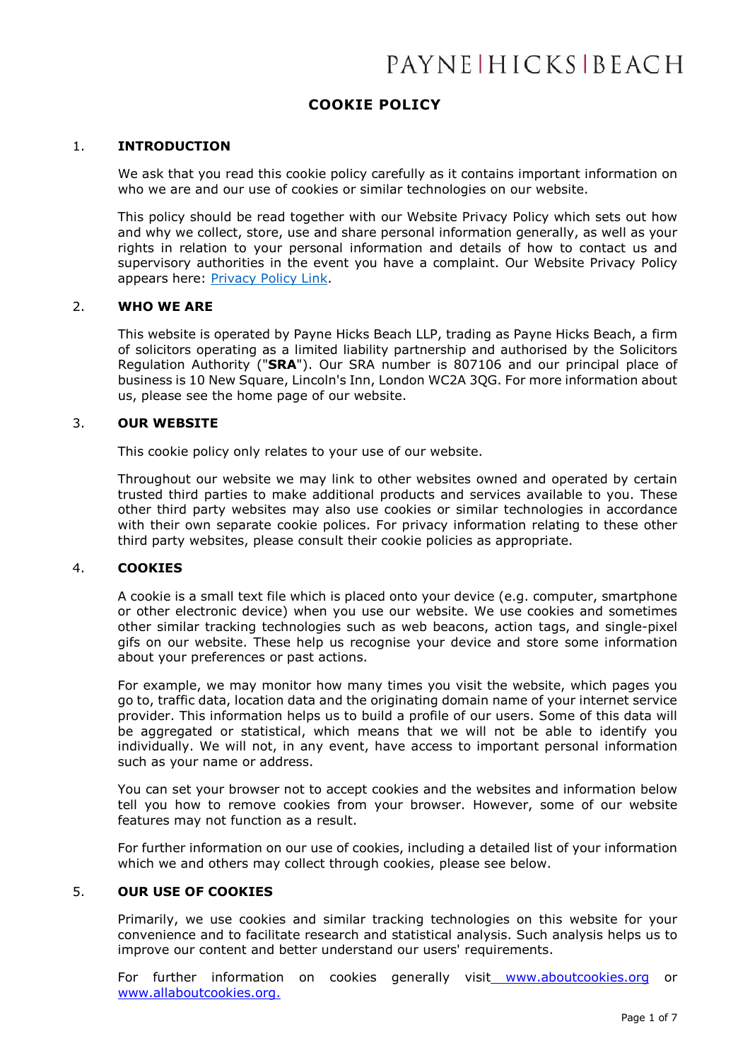# **COOKIE POLICY**

# 1. **INTRODUCTION**

We ask that you read this cookie policy carefully as it contains important information on who we are and our use of cookies or similar technologies on our website.

This policy should be read together with our Website Privacy Policy which sets out how and why we collect, store, use and share personal information generally, as well as your rights in relation to your personal information and details of how to contact us and supervisory authorities in the event you have a complaint. Our Website Privacy Policy appears here: [Privacy Policy Link.](https://www.phb.co.uk/docs/general/WebsitePrivacyPolicy09February2022.pdf)

#### 2. **WHO WE ARE**

This website is operated by Payne Hicks Beach LLP, trading as Payne Hicks Beach, a firm of solicitors operating as a limited liability partnership and authorised by the Solicitors Regulation Authority ("**SRA**"). Our SRA number is 807106 and our principal place of business is 10 New Square, Lincoln's Inn, London WC2A 3QG. For more information about us, please see the home page of our website.

# 3. **OUR WEBSITE**

This cookie policy only relates to your use of our website.

Throughout our website we may link to other websites owned and operated by certain trusted third parties to make additional products and services available to you. These other third party websites may also use cookies or similar technologies in accordance with their own separate cookie polices. For privacy information relating to these other third party websites, please consult their cookie policies as appropriate.

#### 4. **COOKIES**

A cookie is a small text file which is placed onto your device (e.g. computer, smartphone or other electronic device) when you use our website. We use cookies and sometimes other similar tracking technologies such as web beacons, action tags, and single-pixel gifs on our website. These help us recognise your device and store some information about your preferences or past actions.

For example, we may monitor how many times you visit the website, which pages you go to, traffic data, location data and the originating domain name of your internet service provider. This information helps us to build a profile of our users. Some of this data will be aggregated or statistical, which means that we will not be able to identify you individually. We will not, in any event, have access to important personal information such as your name or address.

You can set your browser not to accept cookies and the websites and information below tell you how to remove cookies from your browser. However, some of our website features may not function as a result.

For further information on our use of cookies, including a detailed list of your information which we and others may collect through cookies, please see below.

# 5. **OUR USE OF COOKIES**

Primarily, we use cookies and similar tracking technologies on this website for your convenience and to facilitate research and statistical analysis. Such analysis helps us to improve our content and better understand our users' requirements.

For further information on cookies generally visit [www.aboutcookies.org](http://www.aboutcookies.org/) or [www.allaboutcookies.org.](http://www.allaboutcookies.org/)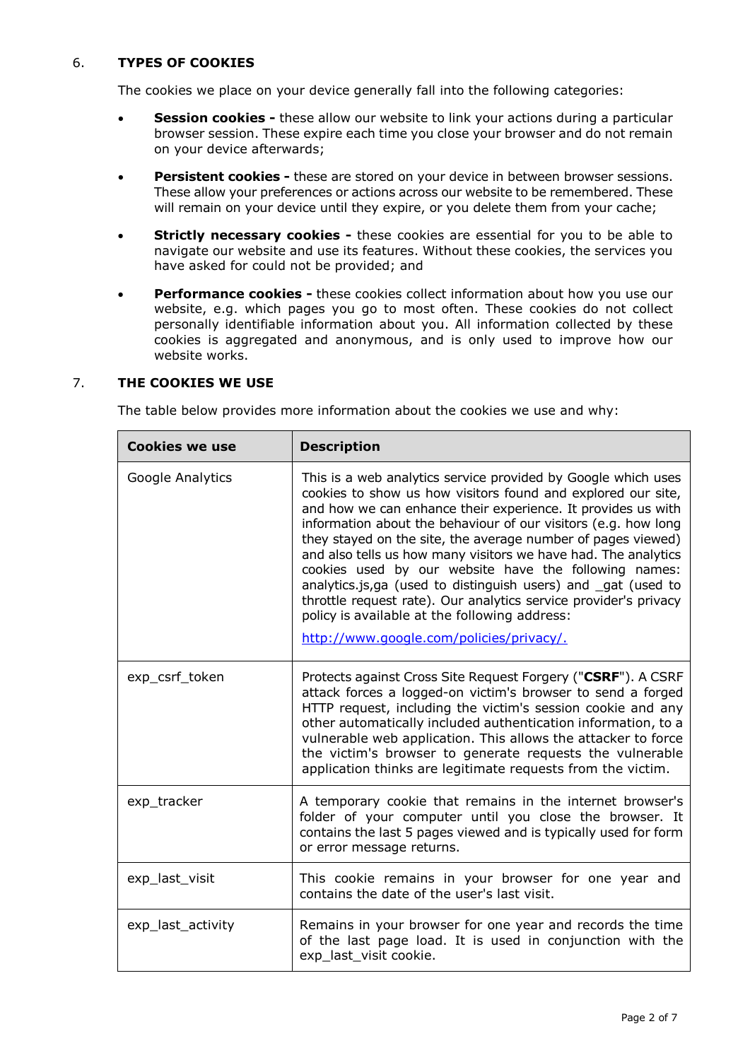# 6. **TYPES OF COOKIES**

The cookies we place on your device generally fall into the following categories:

- **Session cookies -** these allow our website to link your actions during a particular browser session. These expire each time you close your browser and do not remain on your device afterwards;
- **Persistent cookies -** these are stored on your device in between browser sessions. These allow your preferences or actions across our website to be remembered. These will remain on your device until they expire, or you delete them from your cache;
- **Strictly necessary cookies -** these cookies are essential for you to be able to navigate our website and use its features. Without these cookies, the services you have asked for could not be provided; and
- **Performance cookies -** these cookies collect information about how you use our website, e.g. which pages you go to most often. These cookies do not collect personally identifiable information about you. All information collected by these cookies is aggregated and anonymous, and is only used to improve how our website works.

# 7. **THE COOKIES WE USE**

The table below provides more information about the cookies we use and why:

| <b>Cookies we use</b> | <b>Description</b>                                                                                                                                                                                                                                                                                                                                                                                                                                                                                                                                                                                                                                                                          |
|-----------------------|---------------------------------------------------------------------------------------------------------------------------------------------------------------------------------------------------------------------------------------------------------------------------------------------------------------------------------------------------------------------------------------------------------------------------------------------------------------------------------------------------------------------------------------------------------------------------------------------------------------------------------------------------------------------------------------------|
| Google Analytics      | This is a web analytics service provided by Google which uses<br>cookies to show us how visitors found and explored our site,<br>and how we can enhance their experience. It provides us with<br>information about the behaviour of our visitors (e.g. how long<br>they stayed on the site, the average number of pages viewed)<br>and also tells us how many visitors we have had. The analytics<br>cookies used by our website have the following names:<br>analytics.js,ga (used to distinguish users) and gat (used to<br>throttle request rate). Our analytics service provider's privacy<br>policy is available at the following address:<br>http://www.google.com/policies/privacy/. |
| exp_csrf_token        | Protects against Cross Site Request Forgery ("CSRF"). A CSRF<br>attack forces a logged-on victim's browser to send a forged<br>HTTP request, including the victim's session cookie and any<br>other automatically included authentication information, to a<br>vulnerable web application. This allows the attacker to force<br>the victim's browser to generate requests the vulnerable<br>application thinks are legitimate requests from the victim.                                                                                                                                                                                                                                     |
| exp_tracker           | A temporary cookie that remains in the internet browser's<br>folder of your computer until you close the browser. It<br>contains the last 5 pages viewed and is typically used for form<br>or error message returns.                                                                                                                                                                                                                                                                                                                                                                                                                                                                        |
| exp_last_visit        | This cookie remains in your browser for one year and<br>contains the date of the user's last visit.                                                                                                                                                                                                                                                                                                                                                                                                                                                                                                                                                                                         |
| exp_last_activity     | Remains in your browser for one year and records the time<br>of the last page load. It is used in conjunction with the<br>exp_last_visit cookie.                                                                                                                                                                                                                                                                                                                                                                                                                                                                                                                                            |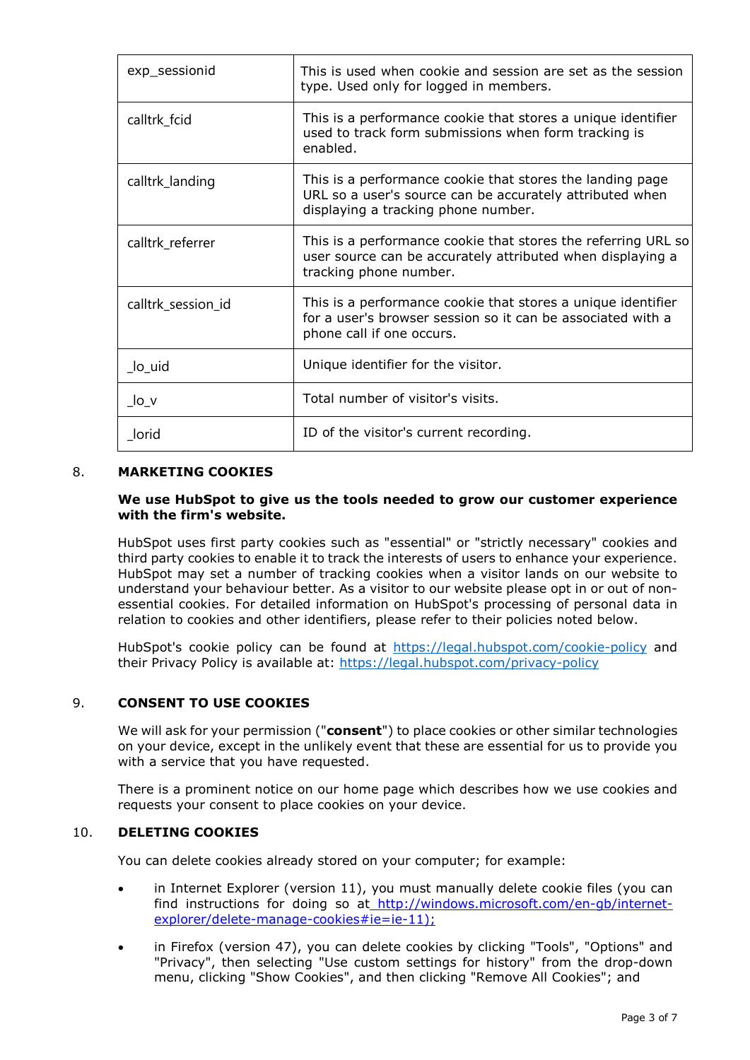| exp_sessionid                                            | This is used when cookie and session are set as the session<br>type. Used only for logged in members.                                                        |
|----------------------------------------------------------|--------------------------------------------------------------------------------------------------------------------------------------------------------------|
| calltrk_fcid                                             | This is a performance cookie that stores a unique identifier<br>used to track form submissions when form tracking is<br>enabled.                             |
| calltrk_landing                                          | This is a performance cookie that stores the landing page<br>URL so a user's source can be accurately attributed when<br>displaying a tracking phone number. |
| calltrk_referrer                                         | This is a performance cookie that stores the referring URL so<br>user source can be accurately attributed when displaying a<br>tracking phone number.        |
| calltrk_session_id                                       | This is a performance cookie that stores a unique identifier<br>for a user's browser session so it can be associated with a<br>phone call if one occurs.     |
| $\overline{\phantom{a}}$ lo $\overline{\phantom{a}}$ uid | Unique identifier for the visitor.                                                                                                                           |
| $\lfloor$ lo $\lfloor$ v                                 | Total number of visitor's visits.                                                                                                                            |
| lorid                                                    | ID of the visitor's current recording.                                                                                                                       |

# 8. **MARKETING COOKIES**

# **We use HubSpot to give us the tools needed to grow our customer experience with the firm's website.**

HubSpot uses first party cookies such as "essential" or "strictly necessary" cookies and third party cookies to enable it to track the interests of users to enhance your experience. HubSpot may set a number of tracking cookies when a visitor lands on our website to understand your behaviour better. As a visitor to our website please opt in or out of nonessential cookies. For detailed information on HubSpot's processing of personal data in relation to cookies and other identifiers, please refer to their policies noted below.

HubSpot's cookie policy can be found at<https://legal.hubspot.com/cookie-policy> and their Privacy Policy is available at:<https://legal.hubspot.com/privacy-policy>

# 9. **CONSENT TO USE COOKIES**

We will ask for your permission ("**consent**") to place cookies or other similar technologies on your device, except in the unlikely event that these are essential for us to provide you with a service that you have requested.

There is a prominent notice on our home page which describes how we use cookies and requests your consent to place cookies on your device.

# 10. **DELETING COOKIES**

You can delete cookies already stored on your computer; for example:

- in Internet Explorer (version 11), you must manually delete cookie files (you can find instructions for doing so at [http://windows.microsoft.com/en-gb/internet](http://windows.microsoft.com/en-gb/internet-explorer/delete-manage-cookies#ie=ie-11);)[explorer/delete-manage-cookies#ie=ie-11\);](http://windows.microsoft.com/en-gb/internet-explorer/delete-manage-cookies#ie=ie-11);)
- in Firefox (version 47), you can delete cookies by clicking "Tools", "Options" and "Privacy", then selecting "Use custom settings for history" from the drop-down menu, clicking "Show Cookies", and then clicking "Remove All Cookies"; and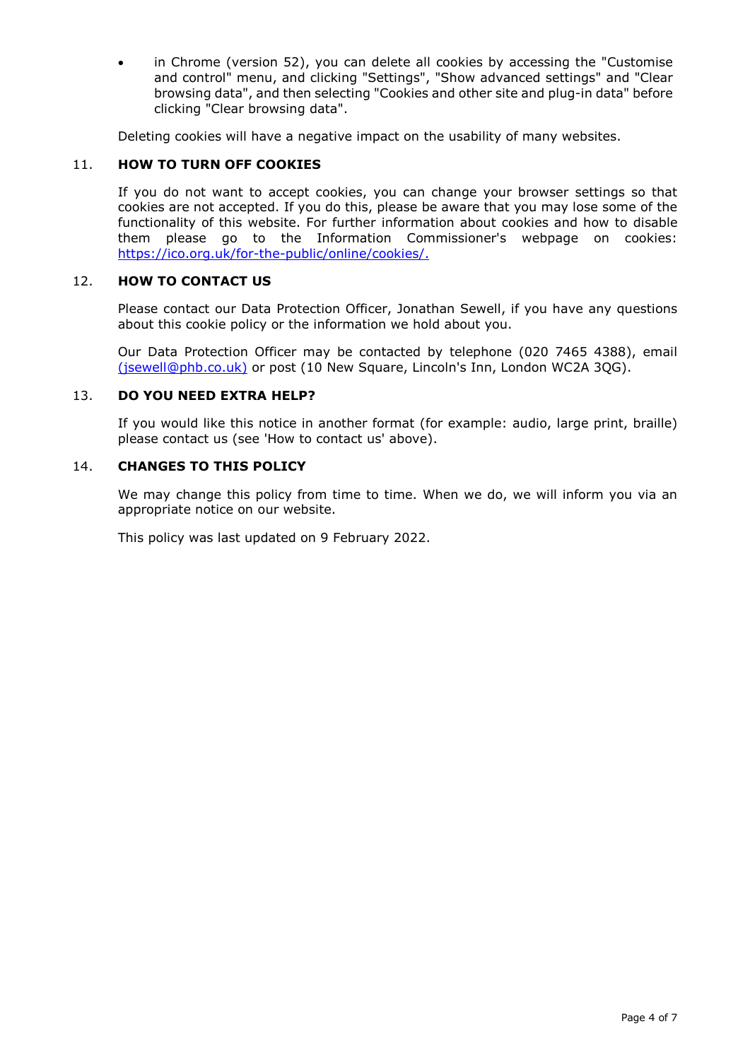in Chrome (version 52), you can delete all cookies by accessing the "Customise" and control" menu, and clicking "Settings", "Show advanced settings" and "Clear browsing data", and then selecting "Cookies and other site and plug-in data" before clicking "Clear browsing data".

Deleting cookies will have a negative impact on the usability of many websites.

# 11. **HOW TO TURN OFF COOKIES**

If you do not want to accept cookies, you can change your browser settings so that cookies are not accepted. If you do this, please be aware that you may lose some of the functionality of this website. For further information about cookies and how to disable them please go to the Information Commissioner's webpage on cookies: [https://ico.org.uk/for-the-public/online/cookies/.](https://ico.org.uk/for-the-public/online/cookies/)

# 12. **HOW TO CONTACT US**

Please contact our Data Protection Officer, Jonathan Sewell, if you have any questions about this cookie policy or the information we hold about you.

Our Data Protection Officer may be contacted by telephone (020 7465 4388), email [\(jsewell@phb.co.uk\)](mailto:jsewell@phb.co.uk) or post (10 New Square, Lincoln's Inn, London WC2A 3QG).

# 13. **DO YOU NEED EXTRA HELP?**

If you would like this notice in another format (for example: audio, large print, braille) please contact us (see 'How to contact us' above).

# 14. **CHANGES TO THIS POLICY**

We may change this policy from time to time. When we do, we will inform you via an appropriate notice on our website.

This policy was last updated on 9 February 2022.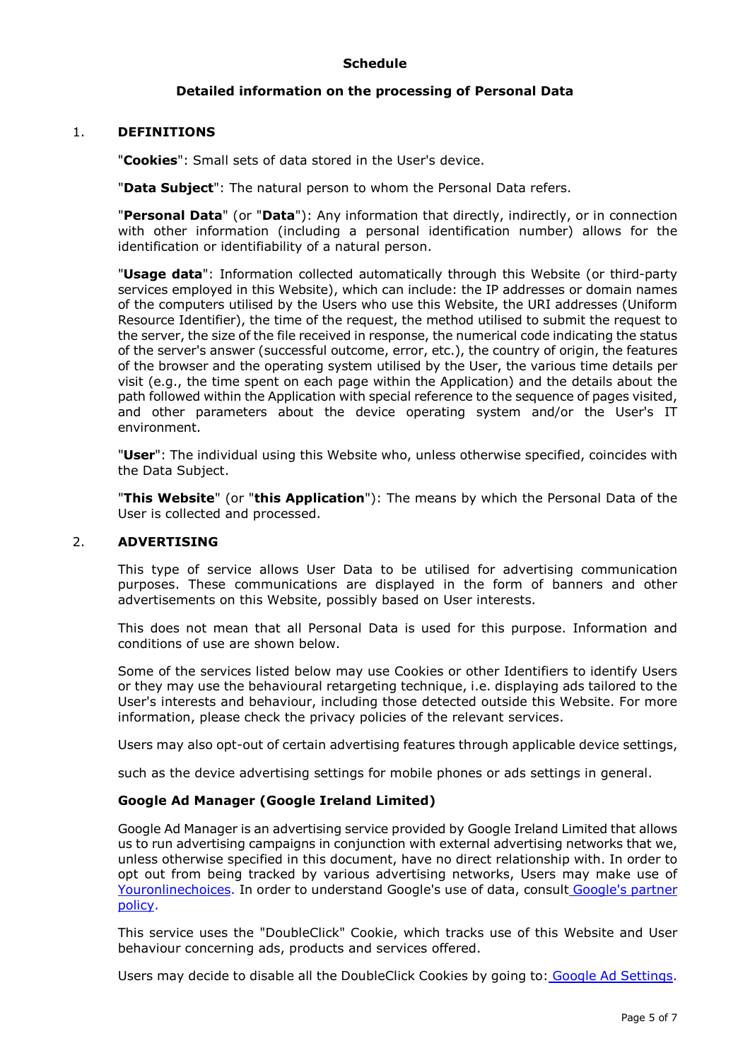# **Schedule**

# **Detailed information on the processing of Personal Data**

# 1. **DEFINITIONS**

"**Cookies**": Small sets of data stored in the User's device.

"**Data Subject**": The natural person to whom the Personal Data refers.

"**Personal Data**" (or "**Data**"): Any information that directly, indirectly, or in connection with other information (including a personal identification number) allows for the identification or identifiability of a natural person.

"**Usage data**": Information collected automatically through this Website (or third-party services employed in this Website), which can include: the IP addresses or domain names of the computers utilised by the Users who use this Website, the URI addresses (Uniform Resource Identifier), the time of the request, the method utilised to submit the request to the server, the size of the file received in response, the numerical code indicating the status of the server's answer (successful outcome, error, etc.), the country of origin, the features of the browser and the operating system utilised by the User, the various time details per visit (e.g., the time spent on each page within the Application) and the details about the path followed within the Application with special reference to the sequence of pages visited, and other parameters about the device operating system and/or the User's IT environment.

"**User**": The individual using this Website who, unless otherwise specified, coincides with the Data Subject.

"**This Website**" (or "**this Application**"): The means by which the Personal Data of the User is collected and processed.

# 2. **ADVERTISING**

This type of service allows User Data to be utilised for advertising communication purposes. These communications are displayed in the form of banners and other advertisements on this Website, possibly based on User interests.

This does not mean that all Personal Data is used for this purpose. Information and conditions of use are shown below.

Some of the services listed below may use Cookies or other Identifiers to identify Users or they may use the behavioural retargeting technique, i.e. displaying ads tailored to the User's interests and behaviour, including those detected outside this Website. For more information, please check the privacy policies of the relevant services.

Users may also opt-out of certain advertising features through applicable device settings,

such as the device advertising settings for mobile phones or ads settings in general.

# **Google Ad Manager (Google Ireland Limited)**

Google Ad Manager is an advertising service provided by Google Ireland Limited that allows us to run advertising campaigns in conjunction with external advertising networks that we, unless otherwise specified in this document, have no direct relationship with. In order to opt out from being tracked by various advertising networks, Users may make use of [Youronlinechoices.](http://www.youronlinechoices.com/) In order to understand Google's use of data, consult [Google's partner](https://www.google.com/policies/privacy/partners/)  [policy.](https://www.google.com/policies/privacy/partners/)

This service uses the "DoubleClick" Cookie, which tracks use of this Website and User behaviour concerning ads, products and services offered.

Users may decide to disable all the DoubleClick Cookies by going to: [Google Ad Settings.](https://adssettings.google.com/authenticated?hl=en)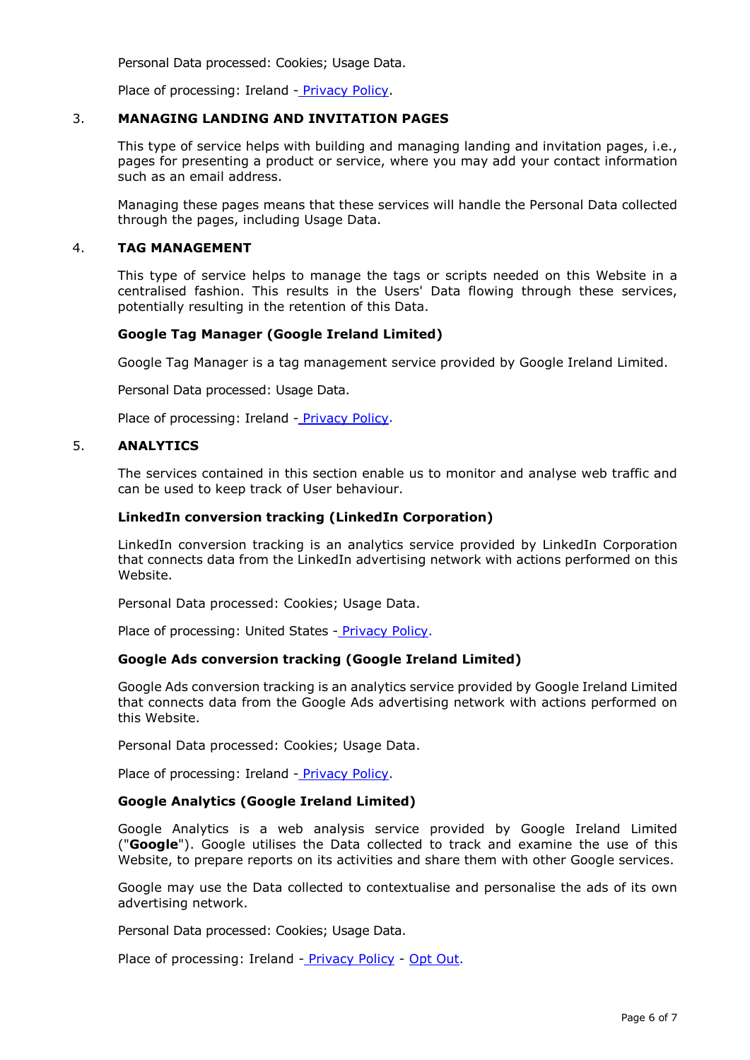Personal Data processed: Cookies; Usage Data.

Place of processing: Ireland - [Privacy Policy.](https://policies.google.com/privacy)

# 3. **MANAGING LANDING AND INVITATION PAGES**

This type of service helps with building and managing landing and invitation pages, i.e., pages for presenting a product or service, where you may add your contact information such as an email address.

Managing these pages means that these services will handle the Personal Data collected through the pages, including Usage Data.

#### 4. **TAG MANAGEMENT**

This type of service helps to manage the tags or scripts needed on this Website in a centralised fashion. This results in the Users' Data flowing through these services, potentially resulting in the retention of this Data.

# **Google Tag Manager (Google Ireland Limited)**

Google Tag Manager is a tag management service provided by Google Ireland Limited.

Personal Data processed: Usage Data.

Place of processing: Ireland - [Privacy Policy.](https://www.linkedin.com/legal/privacy-policy)

# 5. **ANALYTICS**

The services contained in this section enable us to monitor and analyse web traffic and can be used to keep track of User behaviour.

# **LinkedIn conversion tracking (LinkedIn Corporation)**

LinkedIn conversion tracking is an analytics service provided by LinkedIn Corporation that connects data from the LinkedIn advertising network with actions performed on this Website.

Personal Data processed: Cookies; Usage Data.

Place of processing: United States - [Privacy Policy.](https://www.linkedin.com/legal/privacy-policy)

# **Google Ads conversion tracking (Google Ireland Limited)**

Google Ads conversion tracking is an analytics service provided by Google Ireland Limited that connects data from the Google Ads advertising network with actions performed on this Website.

Personal Data processed: Cookies; Usage Data.

Place of processing: Ireland - [Privacy Policy.](https://www.linkedin.com/legal/privacy-policy)

# **Google Analytics (Google Ireland Limited)**

Google Analytics is a web analysis service provided by Google Ireland Limited ("**Google**"). Google utilises the Data collected to track and examine the use of this Website, to prepare reports on its activities and share them with other Google services.

Google may use the Data collected to contextualise and personalise the ads of its own advertising network.

Personal Data processed: Cookies; Usage Data.

Place of processing: Ireland - [Privacy Policy](https://policies.google.com/privacy) - [Opt Out.](https://tools.google.com/dlpage/gaoptout?hl=en)